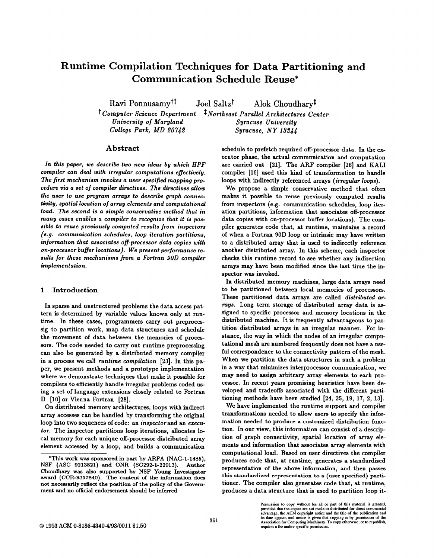# Runtime Compilation Techniques for Data Partitioning and Communication Schedule Reuse\*

Ravi Ponnusamy<sup>†‡</sup> Joel Saltz<sup>†</sup> Alok Choudhary<sup>‡</sup>

<sup>†</sup> Computer Science Department <sup>†</sup> Northeast Parallel Architectures Center University of Maryland College Park, MD 20742 Syracuse University  $Syracuse, NY 13244$ 

#### Abstract

In this paper, we describe two new ideas by which HPF compiler can deal with irregular computations effectively. The first mechanism invokes a user specified mapping procedure via a set of compiler directives. The directives allow the user to use program arrays to describe graph connectivity, spatial location of array elements and computational load. The second is a simple conservative method that in many cases enables a compiler to recognize that it is possible to reuse previously computed results from inspectors (e.g. communication schedules, loop iteration partitions, information that associates off-processor data copies with on-processor bufler locations). We present performance results for these mechanisms from a Fortran 90D compiler implementation.

### 1 Introduction

In sparse and unstructured problems the data access pattern is determined by variable values known only at runtime. In these cases, programmers carry out preprocessig to partition work, map data structures and schedule the movement of data between the memories of processors. The code needed to carry out runtime preprocessing can also be generated by a distributed memory compiler in a process we call runtime compilation  $[23]$ . In this paper, we present methods and a prototype implementation where we demonstrate techniques that make it possible for compilers to efficiently handle irregular problems coded using a set of language extensions closely related to Fortran D [10] or Vienna Fortran [28].

On distributed memory architectures, loops with indirect array accesses can be handled by transforming the original loop into two sequences of code: an inspector and an executor. The inspector partitions loop iterations, allocates Iacal memory for each unique off-processor distributed array element accessed by a loop, and builds a communication schedule to prefetch required off-processor data. In the executor phase, the actual communication and computation are carried out [21]. The ARF compiler [26] and KALI compiler [16] used this kind of transformation to handle loops with indirectly referenced arrays (irregular loops).

We propose a simple conservative method that often makes it possible to reuse previously computed results from inspectors (e.g. communication schedules, loop iteration partitions, information that associates off-processor data copies with on-processor buffer locations). The compiler generates code that, at runtime, maintains a record of when a Fortran 90D loop or intrinsic may have written to a distributed array that is used to indirectly reference another distributed array. In this scheme, each inspector checks this runtime record to see whether any indirection arrays may have been modified since the last time the inspector was invoked.

In distributed memory machines, large data arrays need to be partitioned between local memories of processors. These partitioned data arrays are called distributed arrays. Long term storage of distributed array data is assigned to specific processor and memory locations in the distributed machine. It is frequently advantageous to partition distributed arrays in an irregular manner. For instance, the way in which the nodes of an irregular computational mesh are numbered frequently does not have a useful correspondence to the connectivity pattern of the mesh. When we partition the data structures in such a problem in a way that minimizes interprocessor communication, we may need to assign arbitrary array elements to each processor. In recent years promising heuristics have been developed and tradeoffs associated with the different partitioning methods have been studied [24, 25, 19, 17, 2, 13].

We have implemented the runtime support and compiler transformations needed to allow users to specify the information needed to produce a customized distribution function. In our view, this information can consist of a descrip tion of graph connectivity, spatial location of array elements and information that associates array elements with computational load. Based on user directives the compiler produces code that, at runtime, generates a standardized representation of the above information, and then passes this standardized representation to a (user specified) partitioner. The compiler also generates code that, at runtime, produces a data structure that is used to partition loop it-

<sup>\*</sup>This work was sponsored in part by ARPA (NAG-1-1485), NSF (ASC 9213821) and ONR (SC292-1-22913). Author Choudhary was also supported by NSF Young Investigator award (CCR-9357840). The content of the information does not necessarily reflect the position of the policy of the Government and no official endorsement should be inferred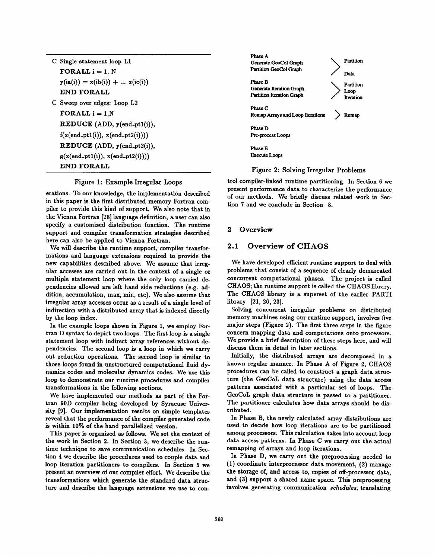| C Single statement loop L1           |
|--------------------------------------|
| $FORALL i = 1. N$                    |
| $y(ia(i)) = x(ib(i)) +  x(ic(i))$    |
| END FORALL                           |
| C Sweep over edges: Loop L2          |
| $FORALL i = 1. N$                    |
| REDUCE (ADD, y(end_pt1(i)),          |
| $f(x(end_p t1(i)), x(end_p t2(i))))$ |
| REDUCE (ADD, y(end_pt2(i)),          |
| $g(x(end_p t1(i)), x(end_p t2(i))))$ |
| END FOR ALL                          |

#### Figure 1: Example Irregular Loops

erations. To our knowledge, the implementation described in this paper is the first distributed memory Fortran compiler to provide this kind of support. We also note that in the Vienna Fortran [28] language definition, a user can also specify a customized distribution function. The runtime support and compiler transformation strategies described here can also be applied to Vienna Fortran.

We will describe the runtime support, compiler transformations and language extensions required to provide the new capabilities described above. We assume that irregular accesses are carried out in the context of a single or multiple statement loop where the only loop carried dependencies allowed are left hand side reductions (e.g. addition, accumulation, max, min, etc). We also assume that irregular array accesses occur as a result of a single level of indirection with a distributed array that is indexed directly by the loop index.

In the example loops shown in Figure 1, we employ Fortran D syntax to depict two loops. The first loop is a single statement loop with indirect array references without dependencies. The second loop is a loop in which we carry out reduction operations. The second loop is similar to those loops found in unstructured computational fluid dynamics codes and molecular dynamics codes. We use this loop to demonstrate our runtime procedures and compiler transformations in the following sections.

We have implemented our methods as part of the Fortran 90D compiler being developed by Syracuse University [9]. Our implementation results on simple templates reveal that the performance of the compiler generated code is within 10% of the hand parallelized version.

This paper is organized as follows. We set the context of the work in Section 2. In Section 3, we describe the runtime technique to save communication schedules. In Section 4 we describe the procedures used to couple data and loop iteration partitioners to compilers. In Section 5 we present an overview of our compiler effort. We describe the transformations which generate the standard data structure and describe the language extensions we use to con-



### Figure 2: Solving Irregular Problems

trol compiler-linked runtime partitioning. In Section 6 we present performance data to characterize the performance of our methods. We briefly discuss related work in Section 7 and we conclude in Section 8.

#### 2 Overview

### 2.1 Overview of CHAOS

We have developed efficient runtime support to deal with problems that consist of a sequence of clearly demarcated concurrent computational phases. The project is called CHAOS; the runtime support is called the CHAOS library. The CHAOS library is a superset of the earlier PARTI library [21, 26, 23].

Solving concurrent irregular problems on distributed memory machines using our runtime support, involves five major steps (Figure 2). The first three steps in the figure concern mapping data and computations onto processors. We provide a brief description of these steps here, and will discuss them in detail in later sections.

Initially, the distributed arrays are decomposed in a known regular manner. In Phase A of Figure 2, CHAOS procedures can be called to construct a graph data structure (the GeoCoL data structure) using the data access patterns associated with a particular set of loops. The GeoCoL graph data structure is passed to a partitioner. The partitioner calculates how data arrays should be distributed.

In Phase B, the newly calculated array distributions are used to decide how loop iterations are to be partitioned among processors. This calculation takes into account loop data access patterns. In Phase C we carry out the actual remapping of arrays and loop iterations.

In Phase D, we carry out the preprocessing needed to (1) coordinate interprocessor data movement, (2) manage the storage of, and access to, copies of off-processor data, and (3) support a shared name space. This preprocessing involves generating communication schedules, translating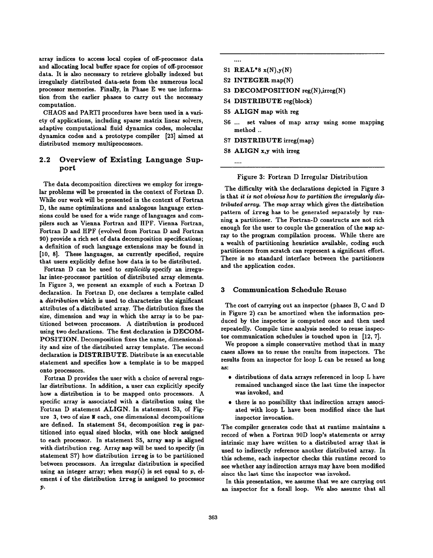array indices to access local copies of off-processor data and allocating local buffer space for copies of off-processor data. It is also necessary to retrieve globally indexed but irregularly distributed data-sets from the numerous local processor memories. Finally, in Phase E we use information from the earlier phases to carry out the necessary computation.

CHAOS and PARTI procedures have been used in a variety of applications, including sparse matrix linear solvers, adaptive computational fluid dynamics codes, molecular dynamics codes and a prototype compiler [23] aimed at distributed memory multiprocessors.

# 2.2 Overview of Existing Language Support

The data decomposition directives we employ for irregular problems will be presented in the context of Fortran D. While our work will be presented in the context of Fortran D, the same optimizations and analogous language extensions could be used for a wide range of languages and compilers such as Vienna Fortran and HPF. Vienna Fortran, Fortran D and HPF (evolved from Fortran D and Fortran 90) provide a rich set of data decomposition specifications; a definition of such language extensions may be found in [10, 8]. These languages, as currently specified, require that users explicitly define how data is to be distributed.

Fortran D can be used to *explicitly* specify an irregular inter-processor partition of distributed array elements. In Figure 3, we present an example of such a Fortran D declaration. In Fortran D, one declares a template called a distribution which is used to characterize the significant attributes of a distributed array. The distribution fixes the size, dimension and way in which the array is to be partitioned between processors. A distribution is produced using two declarations. The first declaration is DECOM-POSITION. Decomposition fixes the name, dimensionality and size of the distributed array template. The second declaration is DISTRIBUTE. Distribute is an executable statement and specifies how a template is to be mapped onto processors.

Fortran D provides the user with a choice of several regular distributions. In addition, a user can explicitly specify how a distribution is to be mapped onto processors. A specific array is associated with a distribution using the Fortran D statement ALIGN. In statement S3, of Figure 3, two of size N each, one dimensional decompositions are defined. In statement S4, decomposition reg is partitioned into equal sized blocks, with one block assigned to each processor. In statement S5, array map is aligned with distribution reg. Array map will be used to specify (in statement S7) how distribution irreg is to be partitioned between processors. An irregular distribution is specified using an integer array; when  $map(i)$  is set equal to p, element i of the distribution irreg is assigned to processor P.

- ....
- S1  $REAL*8 x(N),y($
- S2 INTEGER map(l
- S3 DECOMPOSITION reg(N),irreg
- S4 DISTRIBUTE reg(bloc
- S5 ALIGN map with reg
- S6 ... set values of map array using some mapping method ..
- S7 DISTRIBUTE irreg(ma
- S8 ALIGN x,y with irre

....

#### Figure 3: Fortran D Irregular Distribution

The difficulty with the declarations depicted in Figure 3 is that it is not obvious how to partition the irregularly distributed array. The map array which gives the distribution pattern of irreg has to be generated separately by running a partitioner. The Fortran-D constructs are not rich enough for the user to couple the generation of the map array to the program compilation process. While there are a wealth of partitioning heuristics available, coding such partitioners from scratch can represent a significant effort. There is no standard interface between the partitioners and the application codes.

### 3 Communication Schedule Reuse

The cost of carrying out an inspector (phases B, C and D in Figure 2) can be amortized when the information produced by the inspector is computed once and then used repeatedly. Compile time analysis needed to reuse inspector communication schedules is touched upon in [12, 7].

We propose a simple conservative method that in many cases allows us to reuse the results from inspectors. The results from an inspector for loop L can be reused as long as:

- distributions of data arrays referenced in loop L have remained unchanged since the last time the inspector was invoked, and
- there is no possibility that indirection arrays associ ated with loop L have been modified since the last inspector invocation.

The compiler generates code that at runtime maintains a record of when a Fortran 90D loop's statements or array intrinsic may have written to a distributed array that is used to indirectly reference another distributed array. In this scheme, each inspector checks this runtime record to see whether any indirection arrays may have been modified since the last time the inspector was invoked.

In this presentation, we assume that we are carrying out an inspector for a forall loop. We also assume that all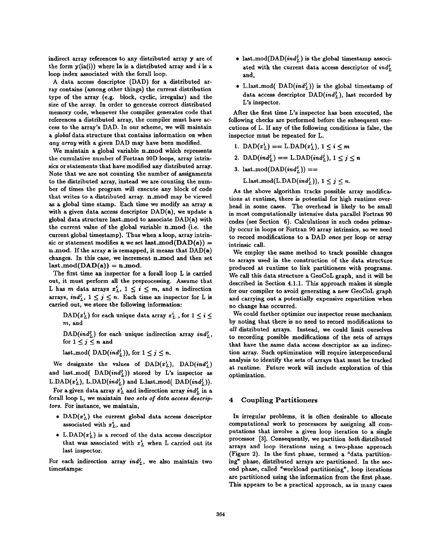indirect array references to any distributed array y are of the form  $y(ia(i))$  where ia is a distributed array and i is a loop index associated with the forall loop.

A data access descriptor (DAD) for a distributed array contains (among other things) the current distribution type of the array (e.g. block, cyclic, irregular) and the size of the array. In order to generate correct distributed memory code, whenever the compiler generates code that references a distributed array, the compiler must have access to the array's DAD. In our scheme, we will maintain a global data structure that contains information on when any array with a given DAD may have been modified.

We maintain a global variable n\_mod which represents the cumulative number of Fortran 90D loops, array intrinsics or statements that have modified any distributed array. Note that we are not counting the number of assignments to the distributed array, instead we are counting the number of times the program will execute any block of code that writes to a distributed array. n\_mod may be viewed as a global time stamp. Each time we modify an array a with a given data access descriptor DAD(a), we update a global data structure last\_mod to associate DAD(a) with the current value of the global variable n.mod (i.e. the current global timestamp). Thus when a loop, array intrinsic or statement modifies a we set last\_mod( $\text{DAD(a)}$ ) = n mod. If the array a is remapped, it means that  $DAD(a)$ changes. In this case, we increment n mod and then set  $last-mod(DAD(a)) = n-mod.$ 

The first time an inspector for a forall loop L is carried out, it must perform all the preprocessing. Assume that L has m data arrays  $x_L^i$ ,  $1 \le i \le m$ , and n indirection arrays,  $ind_L^j$ ,  $1 \leq j \leq n$ . Each time an inspector for L is carried out, we store the following information:

DAD( $x^i_L$ ) for each unique data array  $x^i_L$ , for  $1 \leq i \leq$ m, and

 $DAD(\text{ind}_L^j)$  for each unique indirection array  $\text{ind}_L^j$ , for  $1 \leq j \leq n$  and

last\_mod(  $\text{DAD}(ind_L^j)$ ), for  $1 \leq j \leq n$ .

We designate the values of  $\text{DAD}(x^i_L)$ ,  $\text{DAD}(ind^j_L)$ and last\_mod(  $\text{DAD}(ind_L^j)$ ) stored by L's inspector as L. DAD( $x_L^i$ ), L. DAD( $ind_L^j$ ) and L.last\_mod( DAD( $ind_L^j$ )).

For a given data array  $x_L^i$  and indirection array  $ind_L^j$  in a forall loop L, we maintain two sets of data access descriptors. For instance, we maintain,

- DAD $(x<sub>L</sub><sup>i</sup>)$  the current global data access descriptor associated with  $x_L^i$ , and
- L. DAD $(x_L^i)$  is a record of the data access descriptor that was associated with  $x<sub>L</sub><sup>i</sup>$  when L carried out its last inspector.

For each indirection array  $ind_L^j$ , we also maintain two timestamps:

- $\bullet$  last\_mod(DAD( $\mathfrak{ind}_L$ ) is the global timestamp associ ated with the current data access descriptor of  $ind_r^j$ and,
- $\bullet$  L.last\_mod( DAD( $\mathfrak{ind}_L^{\bullet}$ )) is the global timestamp of data access descriptor  $\text{DAD}(ind^j)$ , last recorded by L's inspector.

After the first time L's inspector has been executed, the following checks are performed before the subsequent executions of L. If any of the following conditions is false, the inspector must be repeated for L.

- 1.  $DAD(x_1^i) == L.DAD(x_1^i), 1 \le i \le m$
- 2. DAD $(ind<sub>i</sub><sup>j</sup>) ==$  L.DAD $(ind<sub>i</sub><sup>j</sup>)$ ,  $1 < j < n$
- 3. last\_mod(DAD(ind<sup>j</sup>)) ==

L.last\_mod(L.DAD( $ind_{L}^{j}$ )),  $1 \leq j \leq n$ .

As the above algorithm tracks possible array modifications at runtime, there is potential for high runtime overhead in some cases. The overhead is likely to be small in most computationally intensive data parallel Fortran 90 codes (see Section 6). Calculations in such codes primarily occur in loops or Fortran 90 array intrinsics, so we need to record modifications to a DAD once per loop or array intrinsic call.

We employ the same method to track possible changes to arrays used in the construction of the data structure produced at runtime to link partitioners with programs. We call this data structure a GeoCoL graph, and it will be described in Section 4.1.1. This approach makes it simple for our compiler to avoid generating a new GeoCoL graph and carrying out a potentially expensive repartition when no change has occurred.

We could further optimize our inspector reuse mechanism by noting that there is no need to record modifications to all distributed arrays. Instead, we could limit ourselves to recording possible modifications of the sets of arrays that have the same data access descriptor as an indirection array. Such optimization will require interprocedural analysis to identify the sets of arrays that must be tracked at runtime. Future work will include exploration of this optimization.

## 4 Coupling Partitioners

In irregular problems, it ia often desirable to allocate computational work to processors by assigning all computations that involve a given loop iteration to a single processor [3]. Consequently, we partition both distributed arrays and loop iterations using a two-phase approach (Figure 2). In the first phase, termed a "data partitioning" phase, distributed arrays are partitioned. In the second phase, called "workload partitioning", loop iterations are partitioned using the information from the first phase. This appears to be a practical approach, as in many cases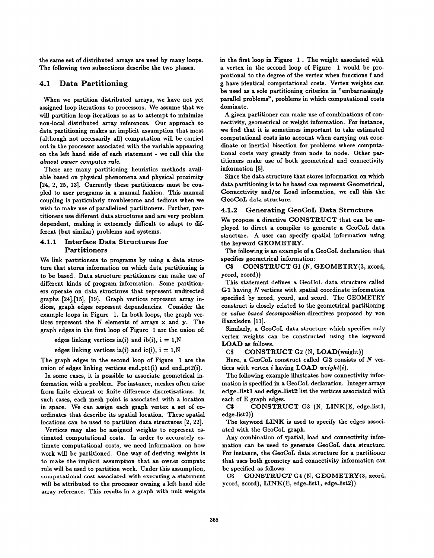the same set of distributed arrays are used by many loops. The following two subsections describe the two phases.

# 4.1 Data Partitioning

When we partition distributed arrays, we have not yet assigned loop iterations to processors. We assume that we will partition loop iterations so as to attempt to minimize non-local distributed array references. Our approach to data partitioning makes an implicit assumption that most (although not necessarily all) computation will be carried out in the processor associated with the variable appearing on the left hand side of each statement - we call this the almost owner computes rule.

There are many partitioning heuristics methods available based on physical phenomena and physical proximity [24, 2, 25, 13]. Currently these partitioners must be coupled to user programs in a manual fashion. This manual coupling is particularly troublesome and tedious when we wish to make use of parallelized partitioners. Further, partitioners use different data structures and are very problem dependent, making it extremely difficult to adapt to different (but similar) problems and systems.

# 4.1.1 Interface Data Structures for Partitioners

We link partitioners to programs by using a data structure that stores information on which data partitioning is to be baaed. Data structure partitioners can make use of different kinds of program information. Some partitioners operate on data structures that represent undirected graphs [24], [15], [19]. Graph vertices represent array indices, graph edges represent dependencies. Consider the example loops in Figure 1. In both loops, the graph vertices represent the N elements of arrays x and y. The graph edges in the first loop of Figure 1 are the union ofi

edges linking vertices ia(i) and ib(i),  $i = 1, N$ 

edges linking vertices ia(i) and ic(i),  $i = 1, N$ 

The graph edges in the second loop of Figure 1 are the union of edges linking vertices end\_pt1 $(i)$  and end\_pt2 $(i)$ .

In some cases, it is possible to associate geometrical information with a problem. For instance, meshes often arise from finite element or finite difference discretizations. In such cases, each mesh point is associated with a location in space. We can sssign each graph vertex a set of coordinates that describe its spatial location. These spatial locations can be used to partition data structures [2, 22].

Vertices may also be assigned weights to represent estimated computational costs. In order to accurately estimate computational costs, we need information on how work will be partitioned. One way of deriving weights is to make the implicit assumption that an owner compute rule will be used to partition work. Under this assumption, computational cost associated with executing a statement will be attributed to the processor owning a left hand side array reference. This results in a graph with unit weights in the first loop in Figure 1. The weight associated with a vertex in the second loop of Figure 1 would be proportional to the degree of the vertex when functions f and g have identical computational costs. Vertex weights can be used as a sole partitioning criterion in "embarrassingly parallel problems", problems in which computational costs dominate.

A given partitioner can make use of combinations of connectivity, geometrical or weight information. For instance, we find that it is sometimes important to take estimated computational costs into account when carrying out coordinate or inertial bisection for problems where computational costs vary greatly from node to node. Other partitioners make use of both geometrical and connectivity information [5].

Since the data structure that stores information on which data partitioning is to be based can represent Geometrical, Connectivity and/or Load information, we call this the GeoCoL data structure.

# 4.1.2 Generating GeoCoL Data Structure

We propose a directive CONSTRUCT that can be employed to direct a compiler to generate a GeoCoL data structure. A user can specify spatial information using the keyword GEOMETRY.

The following is an example of a GeoCoL declaration that specifies geometrical information:

C\$ CONSTRUCT G1 (N, GEOMETRY(3, xcord, ycord, zcord))

This statement defines a GeoCoL data structure called G1 having N vertices with spatial coordinate information specified by xcord, ycord, and zcord. The GEOMETRY construct is closely related to the geometrical partitioning or value based decomposition directives proposed by von Hanxleden [11].

Similarly, a GeoCoL data structure which specifies only vertex weights can be constructed using the keyword LOAD as follows.

C\$ CONSTRUCT G2 (N, LOAD(weight))

Here, a GeoCoL construct called G2 consists of N vertices with vertex  $i$  having LOAD weight(i).

The following example illustrates how connectivity information is specified in a GeoCoL declaration. Integer arrays edge<sub>l</sub>list1 and edge<sub>l</sub>list2 list the vertices associated with each of E graph edges.

C\$ CONSTRUCT G3 (N, LINK(E, edge-listl, edgedist2))

The keyword LINK is used to specify the edges associated with the GeoCoL graph.

Any combination of spatial, load and connectivity information can be used to generate GeoCoL data structure. For instance, the GeoCoL data structure for a partitioner that uses both geometry and connectivity information can be specified as follows:

C\$ CONSTRUCT G4 (N, GEOMETRY(3, xcord, ycord, zcord), LINK(E, edge-listl, edge-list2))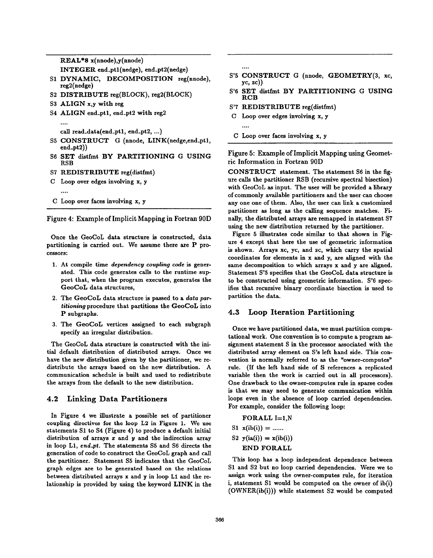REAL\*8 x(nnode),y(nnode)

INTEGER end.ptl(nedge), end.pt2(nedge)

- S1 DYNAMIC, DECOMPOSITION reg(nnod reg2(nedge)
- S2 DISTRIBUTE reg(BLOCK), reg2(BLOCK)
- S3 ALIGN x,y with reg
- S4 ALIGN end\_pt1, end\_pt2 with reg2

```
....
```
call read-data(end-ptl, end-pt2, ...)

- S5 CONSTRUCT G (nnode, LINK(nedge,en end-pt2))
- S6 SET distfmt BY PARTITIONING G USIN RSB
- S7 REDISTRIBUTE reg(distfi

```
c
Loop over edges involving x, y
   ....
```
c Loop over faces involving x, y

Figure 4: Example of Implicit Mapping in Fortran 90D

Once the GeoCoL data structure is constructed, data partitioning is carried out. We assume there are P processors:

- 1. At compile time dependency coupling code is generated. This code generates calls to the runtime support that, when the program executes, generates the GeoCoL data structures,
- 2. The GeoCoL data structure is passed to a data partitioning procedure that partitions the GeoCoL into P subgraphs.
- 3. The GeoCoL vertices assigned to each subgraph specify an irregular distribution.

The GeoCoL data structure is constructed with the initial default distribution of distributed arrays. Once we have the new distribution given by the partitioner, we redistribute the arrays based on the new distribution. A communication schedule is built and used to redistribute the arrays from the default to the new distribution.

# 4.2 Linking Data Partitioners

In Figure 4 we illustrate a possible set of partitioner coupling directives for the loop L2 in Figure 1. We use statements S1 to S4 (Figure 4) to produce a default initial distribution of arrays  $x$  and  $y$  and the indirection array in loop L1, end-pt. The statements S5 and S6 directs the generation of code to construct the GeoCoL graph and call the partitioner. Statement S5 indicates that the GeoCoL graph edges are to be generated based on the relations between distributed arrays x and y in loop L1 and the relationship is provided by using the keyword LINK in the ....

....

- S'5 CONSTRUCT G (nnode, GEOMETRY(3, xc,  $yc, zc)$
- S'6 SET distfmt BY PARTITIONING G USING RCB
- S'7 REDISTRIBUTE reg(distfmt)
- C Loop over edges involving x, y

Figure 5: Example of Implicit Mapping using Geometric Information in Fortran 90D

CONSTRUCT statement. The statement S6 in the figure calls the partitioner RSB (recursive spectral bisection) with GeoCoL as input. The user will be provided a library of commonly available partitioners and the user can choose any one one of them. Also, the user can link a customized partitioner as long as the calling sequence matches. Finally, the distributed arrays are remapped in statement S7 using the new distribution returned by the partitioner.

Figure 5 illustrates code similar to that shown in Figure 4 except that here the use of geometric information is shown. Arrays xc, yc, and zc, which carry the spatial coordinates for elements in x and y, are aligned with the same decomposition to which arrays x and y are aligned. Statement S'5 specifies that the GeoCoL data structure is to be constructed using geometric information. S'6 specifies that recursive bhary coordinate bisection is used to partition the data.

# 4.3 Loop Iteration Partitioning

Once we have partitioned data, we must partition computational work. One convention is to compute a program assignment statement S in the processor associated with the distributed array element on S's left hand side. This convention is normally referred to as the "owner-computes" rule. (If the left hand side of S references a replicated variable then the work is carried out in all processors). One drawback to the owner-computes rule in sparse codes is that we may need to generate communication within loops even in the absence of loop carried dependencies. For example, consider the following loop:

```
FORALL I=1,NS1 \mathbf{x}(\text{ib}(i)) = \dotsS2 y(ia(i)) = x(ib(i))END FORALL
```
This loop has a loop independent dependence between S1 and S2 but no loop carried dependencies. Were we to assign work using the owner-computes rule, for iteration i, statement S1 would be computed on the owner of ib(i) (OWNER(ib(i))) while statement S2 would be computed

C Loop over faces involving x, y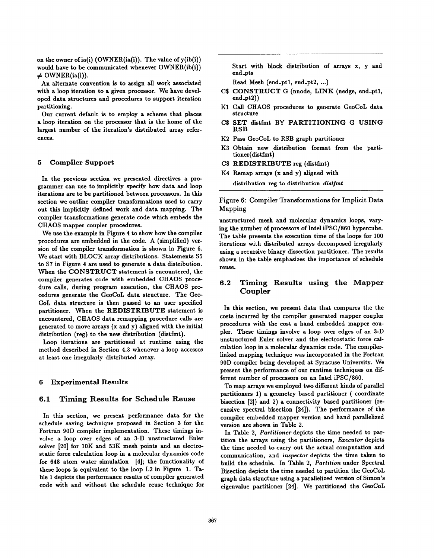on the owner of ia(i) (OWNER(ia(i)). The value of y(ib(i)) would have to be communicated whenever OWNER(ib(i))  $\neq$  OWNER(ia(i)).

An alternate convention is to assign all work associated with a loop iteration to a given processor. We have developed data structures and procedures to support iteration partitioning.

Our current default is to employ a scheme that places a loop iteration on the processor that is the home of the largest number of the iteration's distributed array references.

### 5 Compiler Support

In the previous section we presented directives a programmer can use to implicitly specify how data and loop iterations are to be partitioned between processors. In this section we outline compiler transformations used to carry out this implicitly defined work and data mapping. The compiler transformations generate code which embeds the CHAOS mapper coupler procedures.

We use the example in Figure 4 to show how the compiler procedures are embedded in the code. A (simplified) version of the compiler transformation is shown in Figure 6. We start with BLOCK array distributions. Statements S5 to S7 in Figure 4 are used to generate a data distribution. When the CONSTRUCT statement is encountered, the compiler generates code with embedded CHAOS procedure calls, during program execution, the CHAOS procedures generate the GeoCoL data structure. The Geo-COL data structure is then passed to an user specified partitioner. When the REDISTRIBUTE statement is encountered, CHAOS data remapping procedure calls are generated to move arrays (x and y) aligned with the initial distribution (reg) to the new distribution (distfmt).

Loop iterations are partitioned at runtime using the method described in Section 4.3 whenever a loop accesses at least one irregularly distributed array.

#### 6 Experimental Results

# 6.1 Timing Results for Schedule Reuse

In this section, we present performance data for the schedule saving technique proposed in Section 3 for the Fortran 90D compiler implementation. These timings involve a loop over edges of an 3-D unstructured Euler solver [20] for 10K and 53K mesh points and an electrostatic force calculation loop in a molecular dynamics code for 648 atom water simulation [4]; the functionality of these loops is equivalent to the loop L2 in Figure 1. Table 1 depicts the performance results of compiler generated code with and without the schedule reuse technique for

Start with block distribution of arrays x, y and end-pts

Read Mesh (end.ptl, end-pt2, ...)

- C\$ CONSTRUCT G (nnode, LINK (nedge, end.ptl, end-pt2))
- K1 Call CHAOS procedures to generate GeoCoL data structure
- C\$ SET distfmt BY PARTITIONING G USING RSB
- K2 Pass GeoCoL to RSB graph partitioner
- K3 Obtain new distribution format from the partitioner(distfmt)
- C\$ REDISTRIBUTE reg (distfmt)
- K4 Remap arrays (x and y) aligned with distribution reg to distribution distfmt

Figure 6: Compiler Transformations for Implicit Data Mapping

unstructured mesh and molecular dynamics loops, varying the number of processors of Intel iPSC/860 hypercube. The table presents the execution time of the loops for 100 iterations with distributed arrays decomposed irregularly using a recursive binary dissection partitioner. The results shown in the table emphasizes the importance of schedule reuse.

# 6.2 Timing Results using the Mapper Coupler

In this section, we present data that compares the the costs incurred by the compiler generated mapper coupler procedures with the cost a hand embedded mapper coupler. These timings involve a loop over edges of an 3-D unstructured Euler solver and the electrostatic force calculation loop in a molecular dynamics code. The compiler-Iinked mapping technique was incorporated in the Fortran 90D compiler being developed at Syracuse University. We present the performance of our runtime techniques on different number of processors on an Intel iPSC/860.

To map arrays we employed two different kinds of parallel partitioners 1) a geometry based partitioner ( coordinate bisection  $[2]$ ) and  $2)$  a connectivity based partitioner (recursive spectral bisection  $[24]$ ). The performance of the compiler embedded mapper version and hand parallelized version are shown in Table 2.

In Table 2, Partitioner depicts the time needed to partition the arrays using the partitioners, Ezecutor depicts the time needed to carry out the actual computation and communication, and inspector depicts the time taken to build the schedule. In Table 2, Partition under Spectral Bisection depicts the time needed to partition the GeoCoL graph data structure using a parallelized version of Simon's eigenvalue partitioned [24]. We partitioned the GeoCoL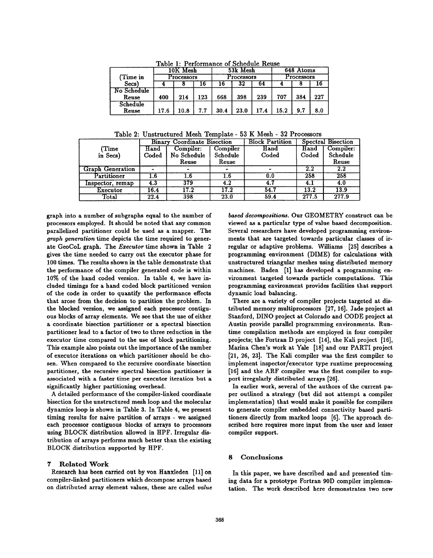|                      |                        | rable 1: Periormance of Schedule Reuse |     |                        |      |      |                         |     |     |
|----------------------|------------------------|----------------------------------------|-----|------------------------|------|------|-------------------------|-----|-----|
|                      | 10K Mesh<br>Processors |                                        |     | 53k Mesh<br>Processors |      |      | 648 Atoms<br>Processors |     |     |
| (Time in             |                        |                                        |     |                        |      |      |                         |     |     |
| Secs)                |                        |                                        | 6   |                        | 32   | 64   |                         |     | 16  |
| No Schedule<br>Reuse | 400                    | 214                                    | 123 | 668                    | 398  | 239  | 707                     | 384 | 227 |
| Schedule<br>Reuse    | 17.6                   | 10.8                                   | 7.7 | 30.4                   | 23.0 | 17.4 | 15.2                    | 9.7 | 8.0 |

 $\mathcal{L}$  Calculation  $\mathbf{D}$  and  $\mathbf{D}$ 

Table 2: Unstructured Mesh Template - 53 K Mesh - 32 Processors

|                         |                  | <b>Binary Coordinate Bisection</b> |          | <b>Block Partition</b><br>Spectral Bisection |         |           |  |
|-------------------------|------------------|------------------------------------|----------|----------------------------------------------|---------|-----------|--|
| (Time                   | Hand             | Compiler:                          | Compiler | Hand                                         | Hand    | Compiler: |  |
| in Secs)                | Coded            | No Schedule                        | Schedule | Coded                                        | Coded   | Schedule  |  |
|                         |                  | Reuse                              | Reuse    |                                              |         | Reuse     |  |
| <b>Graph Generation</b> |                  |                                    |          |                                              | $2.2\,$ | 2.2       |  |
| Partitioner             | $\overline{1.6}$ | 1.6                                | l.6      | 0.0                                          | 258     | 258       |  |
| Inspector, remap        | 4.3              | 379                                | 4.2      | 4.7                                          | 4.1     | 4.0       |  |
| Executor                | 16.4             | 17.2                               | 17.2     | 54.7                                         | 13.2    | 13.9      |  |
| Total                   | 22.4             | 398                                | 23.0     | 59.4                                         | 277.5   | 277.9     |  |

graph into a number of subgraphs equal to the number of processors employed. It should be noted that any common parallelized partitioner could be used as a mapper. The graph generation time depicts the time required to generate GeoCoL graph. The Ezecutor time shown in Table 2 gives the time needed to carry out the executor phase for 100 times. The results shown in the table demonstrate that the performance of the compiler generated code is within 10% of the hand coded version. In table 4, we have included timings for a hand coded block partitioned version of the code in order to quantify the performance effects that arose from the decision to partition the problem. In the blocked version, we assigned each processor contiguous blocks of array elements. We see that the use of either a coordinate bisection partitioner or a spectral bisection partitioner lead to a factor of two to three reduction in the executor time compared to the use of block partitioning. This example also points out the importance of the number of executor iterations on which partitioner should be chosen. When compared to the recursive coordinate bisection partitioner, the recursive spectral bisection partitioner is associated with a faster time per executor iteration but a significantly higher partitioning overhead.

A detailed performance of the compiler-linked coordinate bisection for the unstructured mesh loop and the molecular dynamics loop is shown in Table 3. In Table 4, we present timing results for naive partition of arrays - we assigned each processor contiguous blocks of arrays to processors using BLOCK distribution allowed in HPF. Irregular distribution of arrays performs much better than the existing BLOCK distribution supported by HPF.

### 7 Related Work

Research haa been carried out by von Hanxleden [11] on compiler-linked partitioners which decompose arrays based on distributed array element values, these are called value based decompositions. Our GEOMETRY construct can be viewed as a particular type of value based decomposition. Several researchers have developed programming environments that are targeted towards particular classes of irregular or adaptive problems. Williams [25] describes a programming environment (DIME) for calculations with unstructured triangular meshes using distributed memory machines. Baden [1] haa developed a programming environment targeted towards particle computations. This programming environment provides facilities that support dynamic load balancing.

There are a variety of compiler projects targeted at distributed memory multiprocessors [27, 16]. Jade project at Stanford, DINO project at Colorado and CODE project at Austin provide parallel programming environments. Runtime compilation methods are employed in four compiler projects; the Fortran D project [14], the Kali project [16], Marina Chen's work at Yale [18] and our PARTI project [21, 26, 23]. The Kali compiler was the first compiler to implement inspector/executor type runtime preprocessing [16] and the ARF compiler was the first compiler to support irregularly distributed arrays [26].

In earlier work, several of the authors of the current paper outlined a strategy (but did not attempt a compiler implementation) that would make it possible for compilers to generate compiler embedded connectivity based partitioners directly from marked loops [6]. The approach described here requires more input from the user and lesser compiler support.

### 8 Conclusions

In this paper, we have described and and presented timing data for a prototype Fortran 90D compiler implementation. The work described here demonstrates two new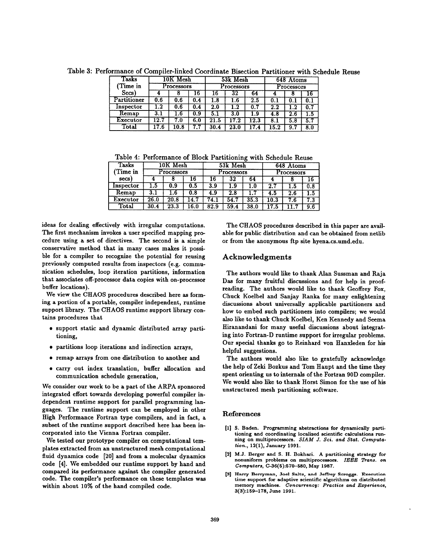| Tasks       | 10K Mesh<br>Processors |      |     | 53k Mesh<br>Processors |      |      | 648 Atoms<br>Processors |     |     |
|-------------|------------------------|------|-----|------------------------|------|------|-------------------------|-----|-----|
| Time in)    |                        |      |     |                        |      |      |                         |     |     |
| Secs)       |                        |      | ۱Ö  | 16                     | 32   | 64   |                         |     |     |
| Partitioner | 0.6                    | 0.6  | 0.4 | 1.8                    | 1.6  | 2.5  | 0.1                     | 0.1 |     |
| Inspector   | .2                     | 0.6  | 0.4 | $2.0\,$                | 1.2  | 0.7  | $2.2\,$                 |     |     |
| Remap       | 3.1                    | l.6  | 0.9 |                        | 3.0  | 1.9  | 4.8                     | 2.6 | 1.5 |
| Executor    | 12.7                   | 7.0  | 6.0 | $\bf 21.5$             | 17.2 | 12.3 | 8.1                     | 5.8 | 5.7 |
| Total       | 17.6                   | 10.8 | 7.7 | 30.4                   | 23.0 | 17.4 | 15.2                    | 9.7 | 8.0 |

Table 3: Performance of Compiler-linked Coordinate Bisection Partitioner with Schedule Reuse

Table4: Performance of Block Partitioning with Schedule Reuse

| Tasks     | 10K Mesh<br>Processors |      |      | 53k Mesh<br>Processors |      |      | 648 Atoms<br>Processors |         |         |
|-----------|------------------------|------|------|------------------------|------|------|-------------------------|---------|---------|
| Time in   |                        |      |      |                        |      |      |                         |         |         |
| secs      |                        |      | 16   | 16                     | 32   | 64   |                         |         | 16      |
| Inspector | l .5                   | 0.9  | 0.5  | 3.9                    | 1.9  |      | 2.1                     |         | 0.8     |
| Remap     | 3.1                    |      | 0.8  | 4.9                    | 2.8  |      | 4.5                     | $2.6\,$ | $1.5\,$ |
| Executor  | 26.0                   | 20.8 | 14.7 | 74.1                   | 54.7 | 35.3 | 10.3                    | 7.6     | 7.3     |
| Total     | 30.4                   | 23.3 | 16.0 | 82.9                   | 59.4 | 38.0 | .7.5                    |         | 9.6     |

ideas for dealing effectively with irregular computations. The first mechanism invokes a user specified mapping procedure using a set of directives. The second is a simple conservative method that in many cases makes it possible for a compiler to recognize the potential for reusing previously computed results from inspectors (e.g. communication schedules, loop iteration partitions, information that associates off-processor data copies with on-processor buffer locations).

We view the CHAOS procedures described here as forming a portion of a portable, compiler independent, runtime support library. The CHAOS runtime support library contains procedures that

- support static and dynamic distributed array partitioning,
- . partitions loop iterations and indirection arrays,
- remap arrays from one distribution to another and
- carry out index translation, buffer allocation and communication schedule generation,

We consider our work to be a part of the ARPA sponsored integrated effort towards developing powerful compiler independent runtime support for parallel programming languages. The runtime support can be employed in other High Performance Fortran type compilers, and in fact, a subset of the runtime support described here has been incorporated into the Vienna Fortran compiler.

We tested our prototype compiler on computational templates extracted from an unstructured mesh computational fluid dynamics code [20] and from a molecular dynamics code [4]. We embedded our runtime support by hand and compared its performance against the compiler generated code. The compiler's performance on these templates was within about 10% of the hand compiled code.

The CHAOS procedures described in this paper are available for public distribution and can be obtained from netlib or from the anonymous ftp site hyena. cs.umd.edu.

# Acknowledgments

The authors would like to thank Alan Sussman and Raja Das for many fruitful discussions and for help in proofreading. The authors would like to thank Geoffrey Fox, Chuck Koelbel and Sanjay Ranka for many enlightening discussions about universally applicable partitioners and how to embed such partitioners into compilers; we would also like to thank Chuck Koelbel, Ken Kennedy and Seems Hiranandani for many useful discussions about integrating into Fortran-D runtime support for irregular problems. Our special thanks go to Reinhard von Hanxleden for his helpful suggestions.

The authors would also like to gratefully acknowledge the help of Zeki Bozkus and Tom Haupt and the time they spent orienting us to internals of the Fortran 90D compiler. We would also like to thank Horst Simon for the use of his unstructured mesh partitioning software.

#### References

- [1] S. Baden. Programming abstractions for dynamically parti. tioning and coordinating localized scientific calculations running on multiprocessors. SIAM J. Sci. and Stat. Computation., 12(1), January 1991.
- [2] M.J. Berger and S. H. Bokhari. A partitioning strategy for nonuniform problems on multiprocessors. IEEE Trans. on Computers, C-36(5):570-580, May 1987.
- [3] Harry Berryman, Joel Saltz, and Jeffrey SCroggs. Exeeution time support for adaptive scientific algorithms on distributed memory machines. Concurrency: Practice and Experience, 3(3):159-17S, June 1991.